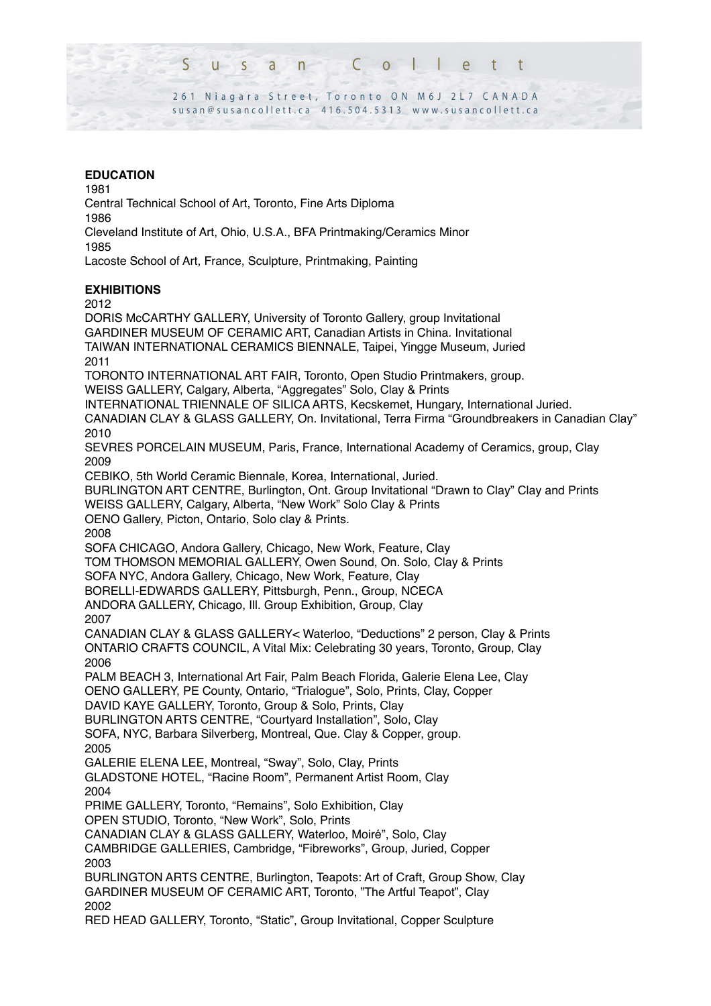$\Omega$  $\varsigma$  $\begin{array}{ccc} \end{array}$ n  $\ddagger$  $\overline{\phantom{a}}$  $\overline{a}$ 

261 Niagara Street, Toronto ON M6J 2L7 CANADA susan@susancollett.ca 416.504.5313 www.susancollett.ca

## **EDUCATION**

1981

Central Technical School of Art, Toronto, Fine Arts Diploma 1986

Cleveland Institute of Art, Ohio, U.S.A., BFA Printmaking/Ceramics Minor 1985

Lacoste School of Art, France, Sculpture, Printmaking, Painting

# **EXHIBITIONS**

2012

DORIS McCARTHY GALLERY, University of Toronto Gallery, group Invitational GARDINER MUSEUM OF CERAMIC ART, Canadian Artists in China. Invitational TAIWAN INTERNATIONAL CERAMICS BIENNALE, Taipei, Yingge Museum, Juried 2011 TORONTO INTERNATIONAL ART FAIR, Toronto, Open Studio Printmakers, group. WEISS GALLERY, Calgary, Alberta, "Aggregates" Solo, Clay & Prints INTERNATIONAL TRIENNALE OF SILICA ARTS, Kecskemet, Hungary, International Juried. CANADIAN CLAY & GLASS GALLERY, On. Invitational, Terra Firma "Groundbreakers in Canadian Clay" 2010 SEVRES PORCELAIN MUSEUM, Paris, France, International Academy of Ceramics, group, Clay 2009 CEBIKO, 5th World Ceramic Biennale, Korea, International, Juried. BURLINGTON ART CENTRE, Burlington, Ont. Group Invitational "Drawn to Clay" Clay and Prints WEISS GALLERY, Calgary, Alberta, "New Work" Solo Clay & Prints OENO Gallery, Picton, Ontario, Solo clay & Prints. 2008 SOFA CHICAGO, Andora Gallery, Chicago, New Work, Feature, Clay TOM THOMSON MEMORIAL GALLERY, Owen Sound, On. Solo, Clay & Prints SOFA NYC, Andora Gallery, Chicago, New Work, Feature, Clay BORELLI-EDWARDS GALLERY, Pittsburgh, Penn., Group, NCECA ANDORA GALLERY, Chicago, Ill. Group Exhibition, Group, Clay 2007 CANADIAN CLAY & GLASS GALLERY< Waterloo, "Deductions" 2 person, Clay & Prints ONTARIO CRAFTS COUNCIL, A Vital Mix: Celebrating 30 years, Toronto, Group, Clay 2006 PALM BEACH 3, International Art Fair, Palm Beach Florida, Galerie Elena Lee, Clay OENO GALLERY, PE County, Ontario, "Trialogue", Solo, Prints, Clay, Copper DAVID KAYE GALLERY, Toronto, Group & Solo, Prints, Clay BURLINGTON ARTS CENTRE, "Courtyard Installation", Solo, Clay SOFA, NYC, Barbara Silverberg, Montreal, Que. Clay & Copper, group. 2005 GALERIE ELENA LEE, Montreal, "Sway", Solo, Clay, Prints GLADSTONE HOTEL, "Racine Room", Permanent Artist Room, Clay 2004 PRIME GALLERY, Toronto, "Remains", Solo Exhibition, Clay OPEN STUDIO, Toronto, "New Work", Solo, Prints CANADIAN CLAY & GLASS GALLERY, Waterloo, Moiré", Solo, Clay CAMBRIDGE GALLERIES, Cambridge, "Fibreworks", Group, Juried, Copper 2003 BURLINGTON ARTS CENTRE, Burlington, Teapots: Art of Craft, Group Show, Clay GARDINER MUSEUM OF CERAMIC ART, Toronto, "The Artful Teapot", Clay 2002

RED HEAD GALLERY, Toronto, "Static", Group Invitational, Copper Sculpture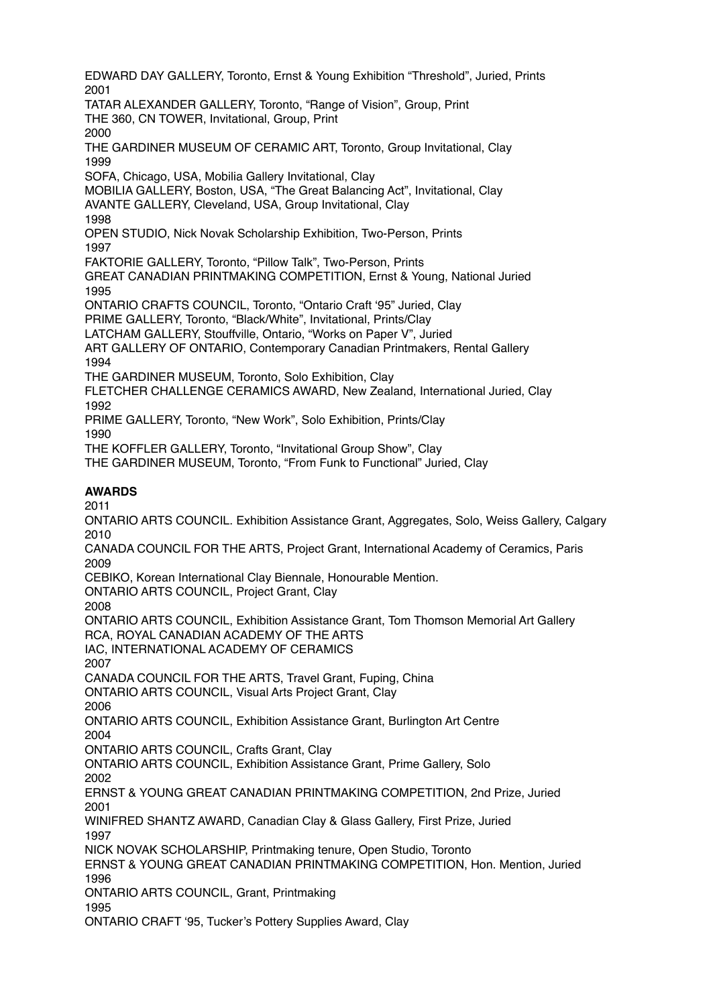EDWARD DAY GALLERY, Toronto, Ernst & Young Exhibition "Threshold", Juried, Prints 2001 TATAR ALEXANDER GALLERY, Toronto, "Range of Vision", Group, Print THE 360, CN TOWER, Invitational, Group, Print 2000 THE GARDINER MUSEUM OF CERAMIC ART, Toronto, Group Invitational, Clay 1999 SOFA, Chicago, USA, Mobilia Gallery Invitational, Clay MOBILIA GALLERY, Boston, USA, "The Great Balancing Act", Invitational, Clay AVANTE GALLERY, Cleveland, USA, Group Invitational, Clay 1998 OPEN STUDIO, Nick Novak Scholarship Exhibition, Two-Person, Prints 1997 FAKTORIE GALLERY, Toronto, "Pillow Talk", Two-Person, Prints GREAT CANADIAN PRINTMAKING COMPETITION, Ernst & Young, National Juried 1995 ONTARIO CRAFTS COUNCIL, Toronto, "Ontario Craft '95" Juried, Clay PRIME GALLERY, Toronto, "Black/White", Invitational, Prints/Clay LATCHAM GALLERY, Stouffville, Ontario, "Works on Paper V", Juried ART GALLERY OF ONTARIO, Contemporary Canadian Printmakers, Rental Gallery 1994 THE GARDINER MUSEUM, Toronto, Solo Exhibition, Clay FLETCHER CHALLENGE CERAMICS AWARD, New Zealand, International Juried, Clay 1992 PRIME GALLERY, Toronto, "New Work", Solo Exhibition, Prints/Clay 1990 THE KOFFLER GALLERY, Toronto, "Invitational Group Show", Clay THE GARDINER MUSEUM, Toronto, "From Funk to Functional" Juried, Clay **AWARDS** 2011 ONTARIO ARTS COUNCIL. Exhibition Assistance Grant, Aggregates, Solo, Weiss Gallery, Calgary 2010 CANADA COUNCIL FOR THE ARTS, Project Grant, International Academy of Ceramics, Paris 2009 CEBIKO, Korean International Clay Biennale, Honourable Mention. ONTARIO ARTS COUNCIL, Project Grant, Clay 2008 ONTARIO ARTS COUNCIL, Exhibition Assistance Grant, Tom Thomson Memorial Art Gallery RCA, ROYAL CANADIAN ACADEMY OF THE ARTS IAC, INTERNATIONAL ACADEMY OF CERAMICS 2007 CANADA COUNCIL FOR THE ARTS, Travel Grant, Fuping, China ONTARIO ARTS COUNCIL, Visual Arts Project Grant, Clay 2006 ONTARIO ARTS COUNCIL, Exhibition Assistance Grant, Burlington Art Centre 2004 ONTARIO ARTS COUNCIL, Crafts Grant, Clay ONTARIO ARTS COUNCIL, Exhibition Assistance Grant, Prime Gallery, Solo 2002 ERNST & YOUNG GREAT CANADIAN PRINTMAKING COMPETITION, 2nd Prize, Juried 2001 WINIFRED SHANTZ AWARD, Canadian Clay & Glass Gallery, First Prize, Juried 1997 NICK NOVAK SCHOLARSHIP, Printmaking tenure, Open Studio, Toronto ERNST & YOUNG GREAT CANADIAN PRINTMAKING COMPETITION, Hon. Mention, Juried 1996 ONTARIO ARTS COUNCIL, Grant, Printmaking 1995 ONTARIO CRAFT '95, Tucker's Pottery Supplies Award, Clay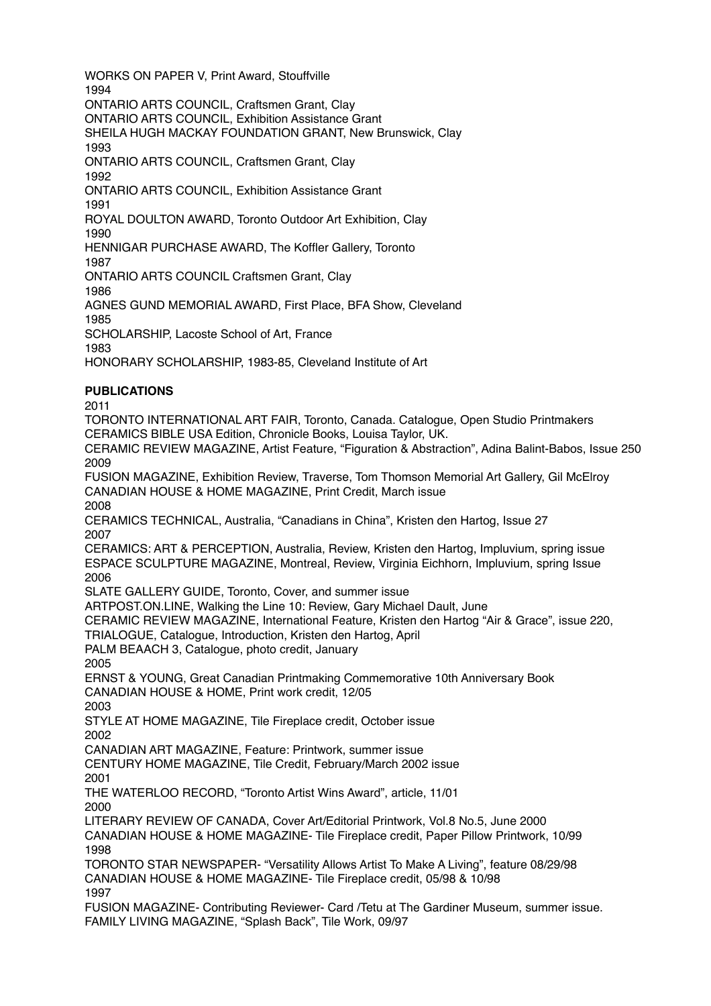WORKS ON PAPER V, Print Award, Stouffville 1994 ONTARIO ARTS COUNCIL, Craftsmen Grant, Clay ONTARIO ARTS COUNCIL, Exhibition Assistance Grant SHEILA HUGH MACKAY FOUNDATION GRANT, New Brunswick, Clay 1993 ONTARIO ARTS COUNCIL, Craftsmen Grant, Clay 1992 ONTARIO ARTS COUNCIL, Exhibition Assistance Grant 1991 ROYAL DOULTON AWARD, Toronto Outdoor Art Exhibition, Clay 1990 HENNIGAR PURCHASE AWARD, The Koffler Gallery, Toronto 1987

ONTARIO ARTS COUNCIL Craftsmen Grant, Clay

1986

AGNES GUND MEMORIAL AWARD, First Place, BFA Show, Cleveland

1985

SCHOLARSHIP, Lacoste School of Art, France

1983

HONORARY SCHOLARSHIP, 1983-85, Cleveland Institute of Art

# **PUBLICATIONS**

2011

TORONTO INTERNATIONAL ART FAIR, Toronto, Canada. Catalogue, Open Studio Printmakers CERAMICS BIBLE USA Edition, Chronicle Books, Louisa Taylor, UK. CERAMIC REVIEW MAGAZINE, Artist Feature, "Figuration & Abstraction", Adina Balint-Babos, Issue 250 2009 FUSION MAGAZINE, Exhibition Review, Traverse, Tom Thomson Memorial Art Gallery, Gil McElroy CANADIAN HOUSE & HOME MAGAZINE, Print Credit, March issue 2008 CERAMICS TECHNICAL, Australia, "Canadians in China", Kristen den Hartog, Issue 27 2007 CERAMICS: ART & PERCEPTION, Australia, Review, Kristen den Hartog, Impluvium, spring issue

ESPACE SCULPTURE MAGAZINE, Montreal, Review, Virginia Eichhorn, Impluvium, spring Issue 2006

SLATE GALLERY GUIDE, Toronto, Cover, and summer issue

ARTPOST.ON.LINE, Walking the Line 10: Review, Gary Michael Dault, June

CERAMIC REVIEW MAGAZINE, International Feature, Kristen den Hartog "Air & Grace", issue 220,

TRIALOGUE, Catalogue, Introduction, Kristen den Hartog, April

PALM BEAACH 3, Catalogue, photo credit, January

2005

ERNST & YOUNG, Great Canadian Printmaking Commemorative 10th Anniversary Book CANADIAN HOUSE & HOME, Print work credit, 12/05

2003

STYLE AT HOME MAGAZINE, Tile Fireplace credit, October issue 2002

CANADIAN ART MAGAZINE, Feature: Printwork, summer issue

CENTURY HOME MAGAZINE, Tile Credit, February/March 2002 issue 2001

THE WATERLOO RECORD, "Toronto Artist Wins Award", article, 11/01 2000

LITERARY REVIEW OF CANADA, Cover Art/Editorial Printwork, Vol.8 No.5, June 2000 CANADIAN HOUSE & HOME MAGAZINE- Tile Fireplace credit, Paper Pillow Printwork, 10/99 1998

TORONTO STAR NEWSPAPER- "Versatility Allows Artist To Make A Living", feature 08/29/98 CANADIAN HOUSE & HOME MAGAZINE- Tile Fireplace credit, 05/98 & 10/98 1997

FUSION MAGAZINE- Contributing Reviewer- Card /Tetu at The Gardiner Museum, summer issue. FAMILY LIVING MAGAZINE, "Splash Back", Tile Work, 09/97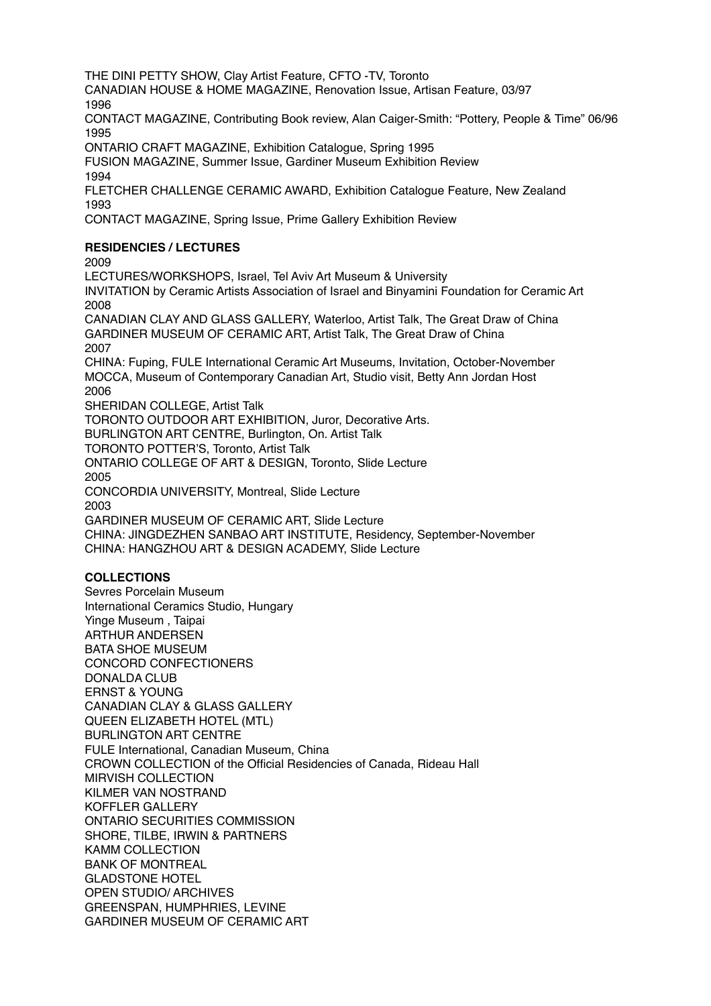THE DINI PETTY SHOW, Clay Artist Feature, CFTO -TV, Toronto

CANADIAN HOUSE & HOME MAGAZINE, Renovation Issue, Artisan Feature, 03/97 1996

CONTACT MAGAZINE, Contributing Book review, Alan Caiger-Smith: "Pottery, People & Time" 06/96 1995

ONTARIO CRAFT MAGAZINE, Exhibition Catalogue, Spring 1995

FUSION MAGAZINE, Summer Issue, Gardiner Museum Exhibition Review

1994

FLETCHER CHALLENGE CERAMIC AWARD, Exhibition Catalogue Feature, New Zealand 1993

CONTACT MAGAZINE, Spring Issue, Prime Gallery Exhibition Review

# **RESIDENCIES / LECTURES**

2009

LECTURES/WORKSHOPS, Israel, Tel Aviv Art Museum & University

INVITATION by Ceramic Artists Association of Israel and Binyamini Foundation for Ceramic Art 2008

CANADIAN CLAY AND GLASS GALLERY, Waterloo, Artist Talk, The Great Draw of China GARDINER MUSEUM OF CERAMIC ART, Artist Talk, The Great Draw of China 2007

CHINA: Fuping, FULE International Ceramic Art Museums, Invitation, October-November MOCCA, Museum of Contemporary Canadian Art, Studio visit, Betty Ann Jordan Host 2006

SHERIDAN COLLEGE, Artist Talk

TORONTO OUTDOOR ART EXHIBITION, Juror, Decorative Arts.

BURLINGTON ART CENTRE, Burlington, On. Artist Talk

TORONTO POTTER'S, Toronto, Artist Talk

ONTARIO COLLEGE OF ART & DESIGN, Toronto, Slide Lecture 2005

CONCORDIA UNIVERSITY, Montreal, Slide Lecture

2003

GARDINER MUSEUM OF CERAMIC ART, Slide Lecture CHINA: JINGDEZHEN SANBAO ART INSTITUTE, Residency, September-November CHINA: HANGZHOU ART & DESIGN ACADEMY, Slide Lecture

# **COLLECTIONS**

Sevres Porcelain Museum International Ceramics Studio, Hungary Yinge Museum , Taipai ARTHUR ANDERSEN BATA SHOE MUSEUM CONCORD CONFECTIONERS DONALDA CLUB ERNST & YOUNG CANADIAN CLAY & GLASS GALLERY QUEEN ELIZABETH HOTEL (MTL) BURLINGTON ART CENTRE FULE International, Canadian Museum, China CROWN COLLECTION of the Official Residencies of Canada, Rideau Hall MIRVISH COLLECTION KILMER VAN NOSTRAND KOFFLER GALLERY ONTARIO SECURITIES COMMISSION SHORE, TILBE, IRWIN & PARTNERS KAMM COLLECTION BANK OF MONTREAL GLADSTONE HOTEL OPEN STUDIO/ ARCHIVES GREENSPAN, HUMPHRIES, LEVINE GARDINER MUSEUM OF CERAMIC ART